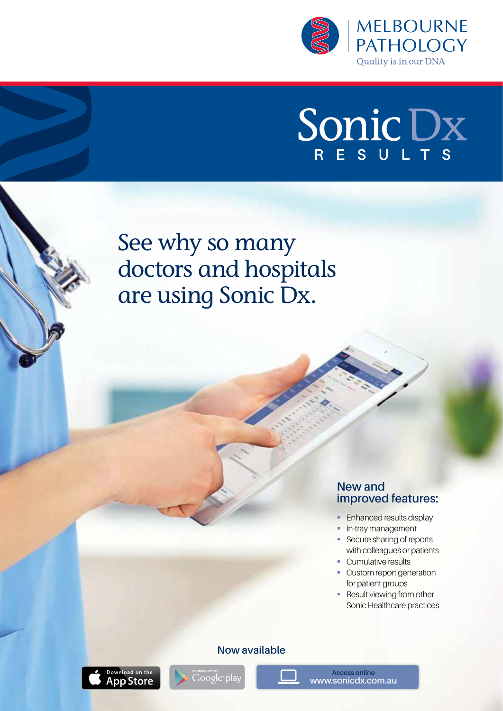

# Sonic Dx

See why so many doctors and hospitals are using Sonic Dx.

#### **New and improved features:**

- **Enhanced results display**
- **•** In-tray management
- Secure sharing of reports with colleagues or patients
- Cumulative results
- Custom report generation for patient groups
- **Result viewing from other** Sonic Healthcare practices





.<br>Google pla

**Access online www.sonicdx.com.au**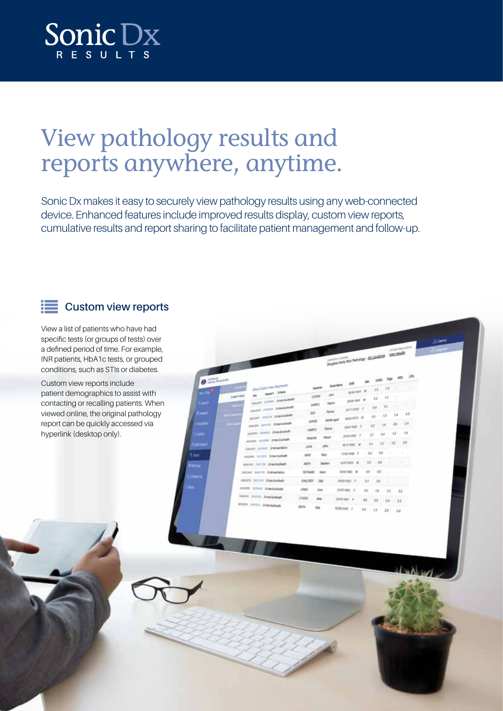

# View pathology results and reports anywhere, anytime.

Sonic Dx makes it easy to securely view pathology results using any web-connected device. Enhanced features include improved results display, custom view reports, cumulative results and report sharing to facilitate patient management and follow-up.

**CONTRACTOR SEARCH** 

### **EXECUSTION VIEW reports**

View a list of patients who have had specific tests (or groups of tests) over a defined period of time. For example, INR patients, HbA1c tests, or grouped conditions, such as STIs or diabetes.

Custom view reports include patient demographics to assist with contacting or recalling patients. When viewed online, the original pathology report can be quickly accessed via hyperlink (desktop only).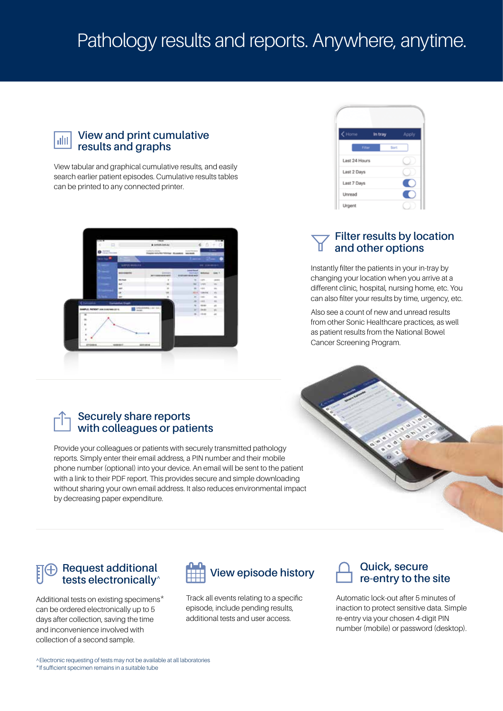## Pathology results and reports. Anywhere, anytime.

#### **View and print cumulative**  ahl **results and graphs**

View tabular and graphical cumulative results, and easily search earlier patient episodes. Cumulative results tables can be printed to any connected printer.



## in tra Last 24 Hour Last 2 Days Last 7 Days œ Unread Urgent

#### **Filter results by location and other options**

Instantly filter the patients in your in-tray by changing your location when you arrive at a different clinic, hospital, nursing home, etc. You can also filter your results by time, urgency, etc.

Also see a count of new and unread results from other Sonic Healthcare practices, as well as patient results from the National Bowel Cancer Screening Program.

#### **Securely share reports with colleagues or patients**

Provide your colleagues or patients with securely transmitted pathology reports. Simply enter their email address, a PIN number and their mobile phone number (optional) into your device. An email will be sent to the patient with a link to their PDF report. This provides secure and simple downloading without sharing your own email address. It also reduces environmental impact by decreasing paper expenditure.



#### **Request additional tests electronically^**

Additional tests on existing specimens\* can be ordered electronically up to 5 days after collection, saving the time and inconvenience involved with collection of a second sample.



Track all events relating to a specific episode, include pending results, additional tests and user access.



#### **Quick, secure re-entry to the site**

Automatic lock-out after 5 minutes of inaction to protect sensitive data. Simple re-entry via your chosen 4-digit PIN number (mobile) or password (desktop).

^Electronic requesting of tests may not be available at all laboratories \*If sufficient specimen remains in a suitable tube